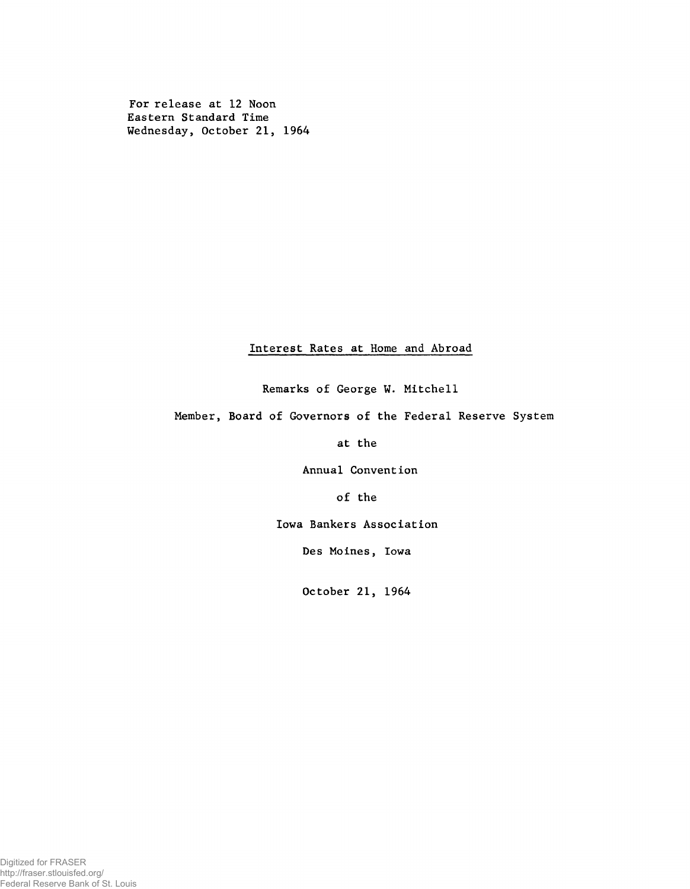For release at 12 Noon Eastern Standard Time Wednesday, October 21, 1964

# Interest Rates at Home and Abroad

Remarks of George W. Mitchell

Member, Board of Governors of the Federal Reserve System

at the

Annual Convention

of the

Iowa Bankers Association

Des Moines, Iowa

October 21, 1964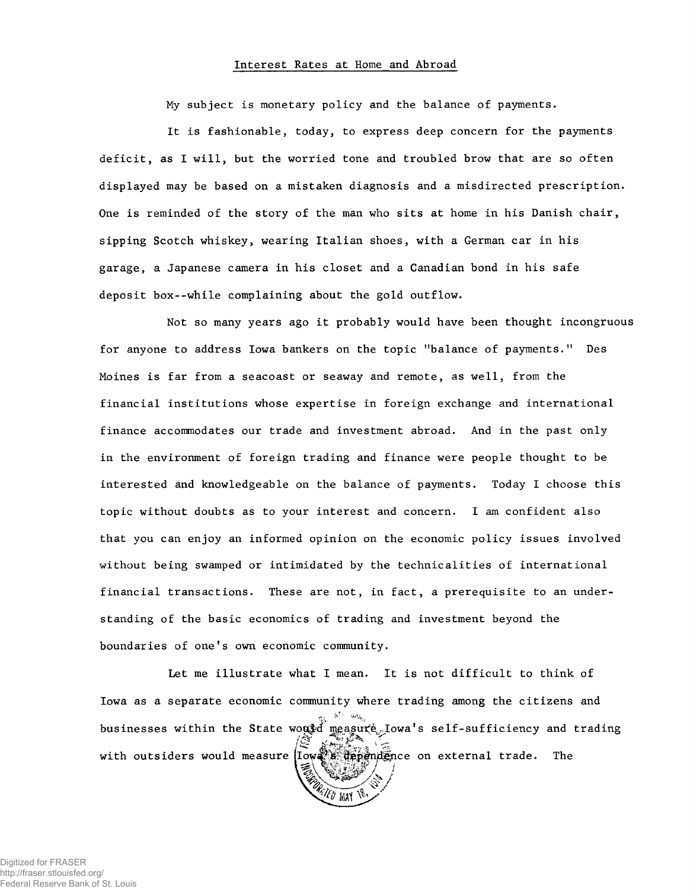## Interest Rates at Home and Abroad

My subject is monetary policy and the balance of payments.

It is fashionable, today, to express deep concern for the payments deficit, as I will, but the worried tone and troubled brow that are so often displayed may be based on a mistaken diagnosis and a misdirected prescription. One is reminded of the story of the man who sits at home in his Danish chair, sipping Scotch whiskey, wearing Italian shoes, with a German car in his garage, a Japanese camera in his closet and a Canadian bond in his safe deposit box--while complaining about the gold outflow.

Not so many years ago it probably would have been thought incongruous for anyone to address Iowa bankers on the topic "balance of payments." Des Moines is far from a seacoast or seaway and remote, as well, from the financial institutions whose expertise in foreign exchange and international finance accommodates our trade and investment abroad. And in the past only in the environment of foreign trading and finance were people thought to be interested and knowledgeable on the balance of payments. Today I choose this topic without doubts as to your interest and concern. I am confident also that you can enjoy an informed opinion on the economic policy issues involved without being swamped or intimidated by the technicalities of international financial transactions. These are not, in fact, a prerequisite to an understanding of the basic economics of trading and investment beyond the boundaries of one's own economic community.

Let me illustrate what I mean. It is not difficult to think of Iowa as a separate economic community where trading among the citizens and businesses within the State would measure lowa's self-sufficiency and trading<br> *in the State would* in the self-sufficiency and trading with outsiders would measure  $\left( \frac{m}{n}\right)$  of  $\frac{m}{n}$  and  $\frac{m}{n}$  on external trade. The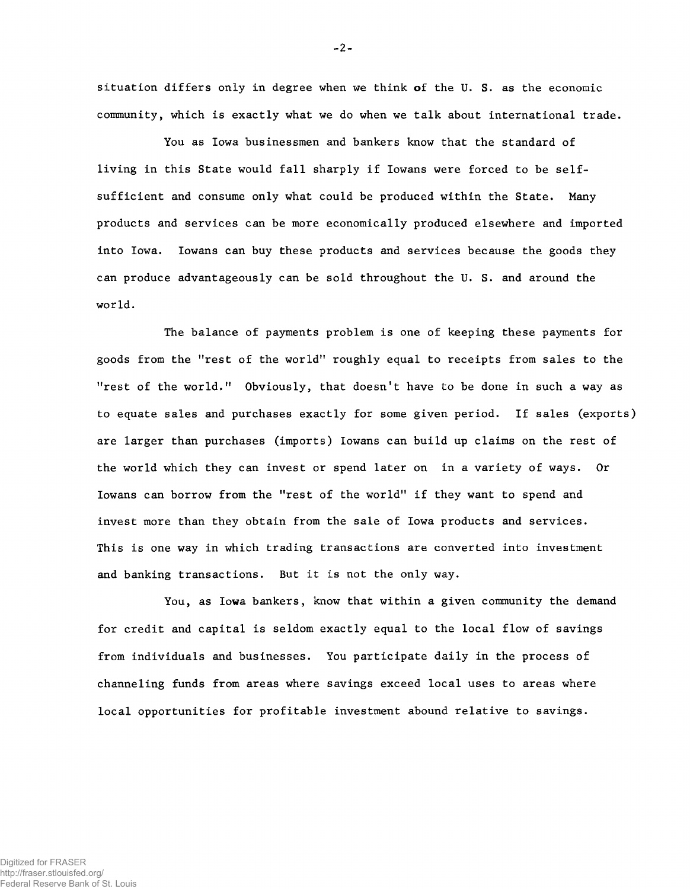situation differs only in degree when we think of the U. S. as the economic community, which is exactly what we do when we talk about international trade.

You as Iowa businessmen and bankers know that the standard of living in this State would fall sharply if Iowans were forced to be selfsufficient and consume only what could be produced within the State. Many products and services can be more economically produced elsewhere and imported into Iowa. Iowans can buy these products and services because the goods they can produce advantageously can be sold throughout the U. S. and around the world.

The balance of payments problem is one of keeping these payments for goods from the "rest of the world" roughly equal to receipts from sales to the "rest of the world." Obviously, that doesn't have to be done in such a way as to equate sales and purchases exactly for some given period. If sales (exports) are larger than purchases (imports) Iowans can build up claims on the rest of the world which they can invest or spend later on in a variety of ways. Or Iowans can borrow from the "rest of the world" if they want to spend and invest more than they obtain from the sale of Iowa products and services. This is one way in which trading transactions are converted into investment and banking transactions. But it is not the only way.

You, as Iowa bankers, know that within a given community the demand for credit and capital is seldom exactly equal to the local flow of savings from individuals and businesses. You participate daily in the process of channeling funds from areas where savings exceed local uses to areas where local opportunities for profitable investment abound relative to savings.

 $-2 -$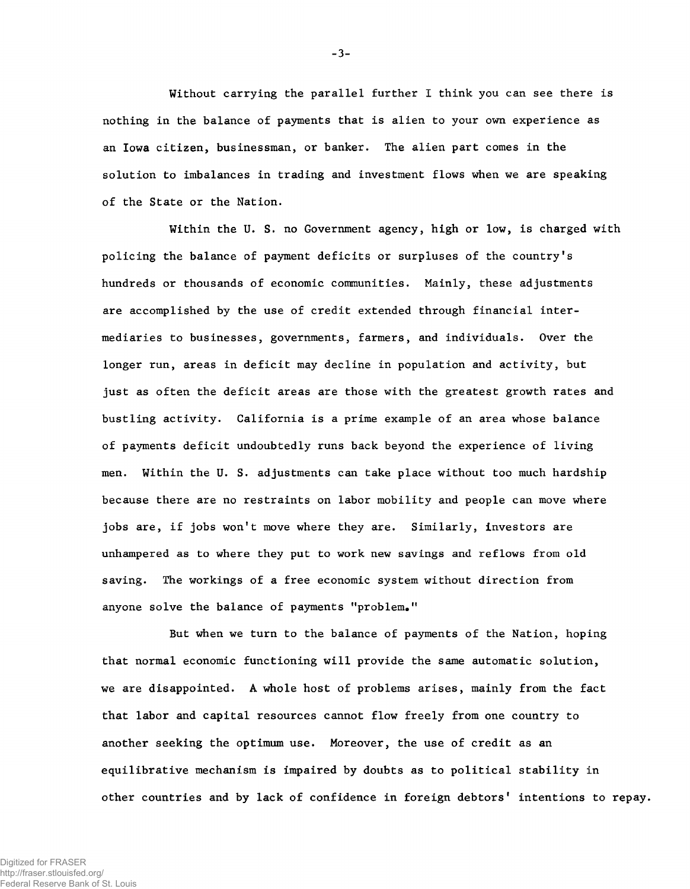Without carrying the parallel further I think you can see there is nothing in the balance of payments that is alien to your own experience as an Iowa citizen, businessman, or banker. The alien part comes in the solution to imbalances in trading and investment flows when we are speaking of the State or the Nation.

Within the U. S. no Government agency, high or low, is charged with policing the balance of payment deficits or surpluses of the country's hundreds or thousands of economic communities. Mainly, these adjustments are accomplished by the use of credit extended through financial intermediaries to businesses, governments, farmers, and individuals. Over the longer run, areas in deficit may decline in population and activity, but just as often the deficit areas are those with the greatest growth rates and bustling activity. California is a prime example of an area whose balance of payments deficit undoubtedly runs back beyond the experience of living men. Within the U. S. adjustments can take place without too much hardship because there are no restraints on labor mobility and people can move where jobs are, if jobs won't move where they are. Similarly, investors are unhampered as to where they put to work new savings and reflows from old saving. The workings of a free economic system without direction from anyone solve the balance of payments "problem."

But when we turn to the balance of payments of the Nation, hoping that normal economic functioning will provide the same automatic solution, we are disappointed. A whole host of problems arises, mainly from the fact that labor and capital resources cannot flow freely from one country to another seeking the optimum use. Moreover, the use of credit as an equilibrative mechanism is impaired by doubts as to political stability in other countries and by lack of confidence in foreign debtors' intentions to repay.

-3-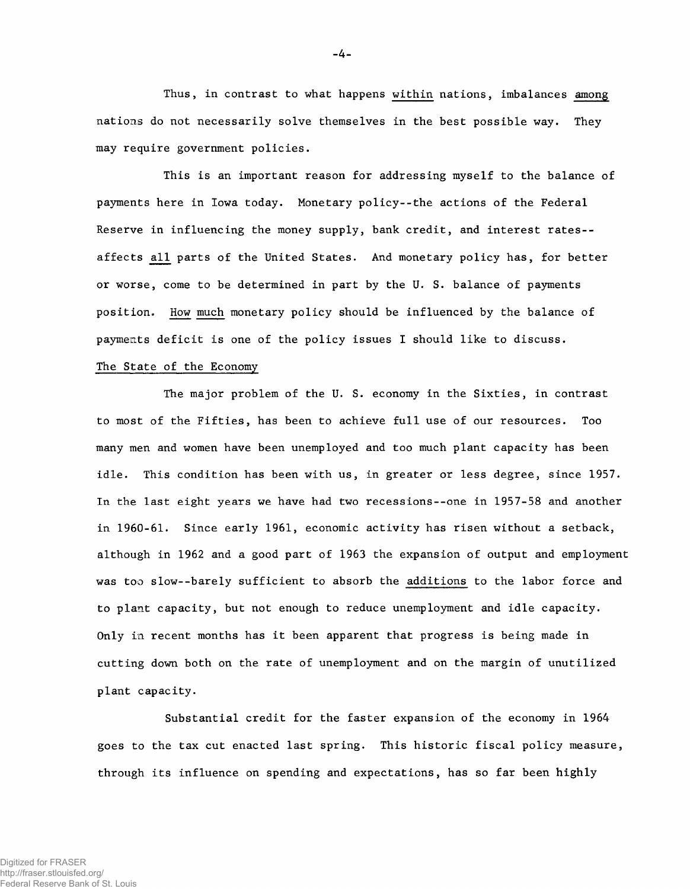Thus, in contrast to what happens within nations, imbalances among nations do not necessarily solve themselves in the best possible way. They may require government policies.

This is an important reason for addressing myself to the balance of payments here in Iowa today. Monetary policy--the actions of the Federal Reserve in influencing the money supply, bank credit, and interest rates- affects all parts of the United States. And monetary policy has, for better or worse, come to be determined in part by the U. S. balance of payments position. How much monetary policy should be influenced by the balance of payments deficit is one of the policy issues I should like to discuss.

# The State of the Economy

The major problem of the U. S. economy in the Sixties, in contrast to most of the Fifties, has been to achieve full use of our resources. Too many men and women have been unemployed and too much plant capacity has been idle. This condition has been with us, in greater or less degree, since 1957. In the last eight years we have had two recessions--one in 1957-58 and another in 1960-61. Since early 1961, economic activity has risen without a setback, although in 1962 and a good part of 1963 the expansion of output and employment was too slow--barely sufficient to absorb the additions to the labor force and to plant capacity, but not enough to reduce unemployment and idle capacity. Only in recent months has it been apparent that progress is being made in cutting down both on the rate of unemployment and on the margin of unutilized plant capacity.

Substantial credit for the faster expansion of the economy in 1964 goes to the tax cut enacted last spring. This historic fiscal policy measure, through its influence on spending and expectations, has so far been highly

-4-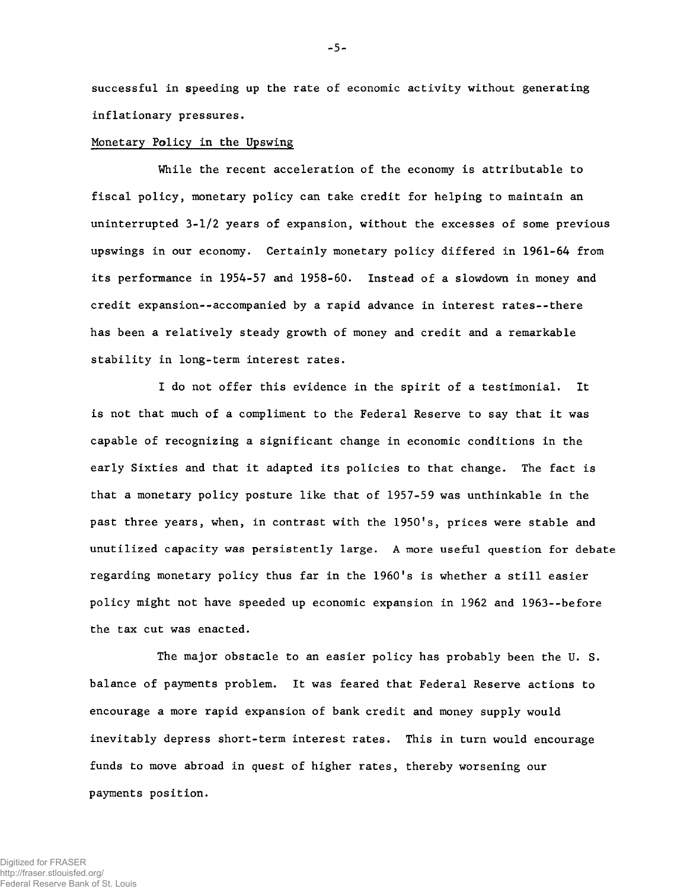successful in speeding up the rate of economic activity without generating inflationary pressures.

#### Monetary Policy in the Upswing

While the recent acceleration of the economy is attributable to fiscal policy, monetary policy can take credit for helping to maintain an uninterrupted 3-1/2 years of expansion, without the excesses of some previous upswings in our economy. Certainly monetary policy differed in 1961-64 from its performance in 1954-57 and 1958-60. Instead of a slowdown in money and credit expansion--accompanied by a rapid advance in interest rates--there has been a relatively steady growth of money and credit and a remarkable stability in long-term interest rates.

I do not offer this evidence in the spirit of a testimonial. It is not that much of a compliment to the Federal Reserve to say that it was capable of recognizing a significant change in economic conditions in the early Sixties and that it adapted its policies to that change. The fact is that a monetary policy posture like that of 1957-59 was unthinkable in the past three years, when, in contrast with the 1950's, prices were stable and unutilized capacity was persistently large. A more useful question for debate regarding monetary policy thus far in the 1960's is whether a still easier policy might not have speeded up economic expansion in 1962 and 1963--before the tax cut was enacted.

The major obstacle to an easier policy has probably been the U. S. balance of payments problem. It was feared that Federal Reserve actions to encourage a more rapid expansion of bank credit and money supply would inevitably depress short-term interest rates. This in turn would encourage funds to move abroad in quest of higher rates, thereby worsening our payments position.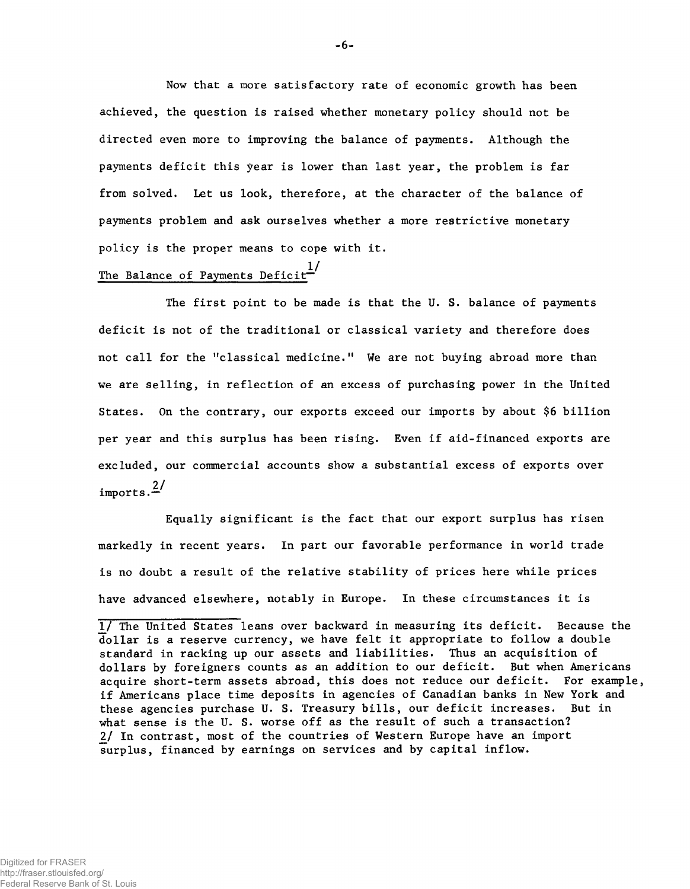Now that a more satisfactory rate of economic growth has been achieved, the question is raised whether monetary policy should not be directed even more to improving the balance of payments. Although the payments deficit this year is lower than last year, the problem is far from solved. Let us look, therefore, at the character of the balance of payments problem and ask ourselves whether a more restrictive monetary policy is the proper means to cope with it.

# The Balance of Payments Deficit $\overline{\phantom{a}^{1}}$

The first point to be made is that the U. S. balance of payments deficit is not of the traditional or classical variety and therefore does not call for the "classical medicine." We are not buying abroad more than we are selling, in reflection of an excess of purchasing power in the United States. On the contrary, our exports exceed our imports by about \$6 billion per year and this surplus has been rising. Even if aid-financed exports are excluded, our commercial accounts show a substantial excess of exports over imports. $\frac{2}{ }$ 

Equally significant is the fact that our export surplus has risen markedly in recent years. In part our favorable performance in world trade is no doubt a result of the relative stability of prices here while prices have advanced elsewhere, notably in Europe. In these circumstances it is

<sup>1/</sup> The United States leans over backward in measuring its deficit. Because the dollar is a reserve currency, we have felt it appropriate to follow a double standard in racking up our assets and liabilities. Thus an acquisition of dollars by foreigners counts as an addition to our deficit. But when Americans acquire short-term assets abroad, this does not reduce our deficit. For example, if Americans place time deposits in agencies of Canadian banks in New York and these agencies purchase U. S. Treasury bills, our deficit increases. But in what sense is the U. S. worse off as the result of such a transaction? *2/* In contrast, most of the countries of Western Europe have an import surplus, financed by earnings on services and by capital inflow.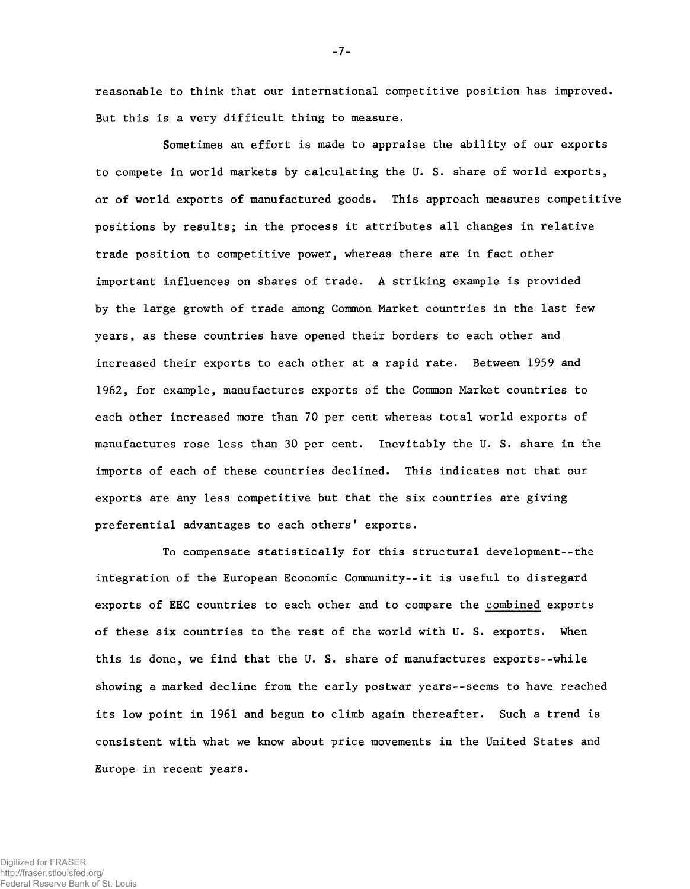reasonable to think that our international competitive position has improved. But this is a very difficult thing to measure.

Sometimes an effort is made to appraise the ability of our exports to compete in world markets by calculating the U. S. share of world exports, or of world exports of manufactured goods. This approach measures competitive positions by results; in the process it attributes all changes in relative trade position to competitive power, whereas there are in fact other important influences on shares of trade. A striking example is provided by the large growth of trade among Common Market countries in the last few years, as these countries have opened their borders to each other and increased their exports to each other at a rapid rate. Between 1959 and 1962, for example, manufactures exports of the Common Market countries to each other increased more than 70 per cent whereas total world exports of manufactures rose less than 30 per cent. Inevitably the U. S. share in the imports of each of these countries declined. This indicates not that our exports are any less competitive but that the six countries are giving preferential advantages to each others' exports.

To compensate statistically for this structural development--the integration of the European Economic Community--it is useful to disregard exports of EEC countries to each other and to compare the combined exports of these six countries to the rest of the world with U. S. exports. When this is done, we find that the U. S. share of manufactures exports--while showing a marked decline from the early postwar years--seems to have reached its low point in 1961 and begun to climb again thereafter. Such a trend is consistent with what we know about price movements in the United States and Europe in recent years.

-7-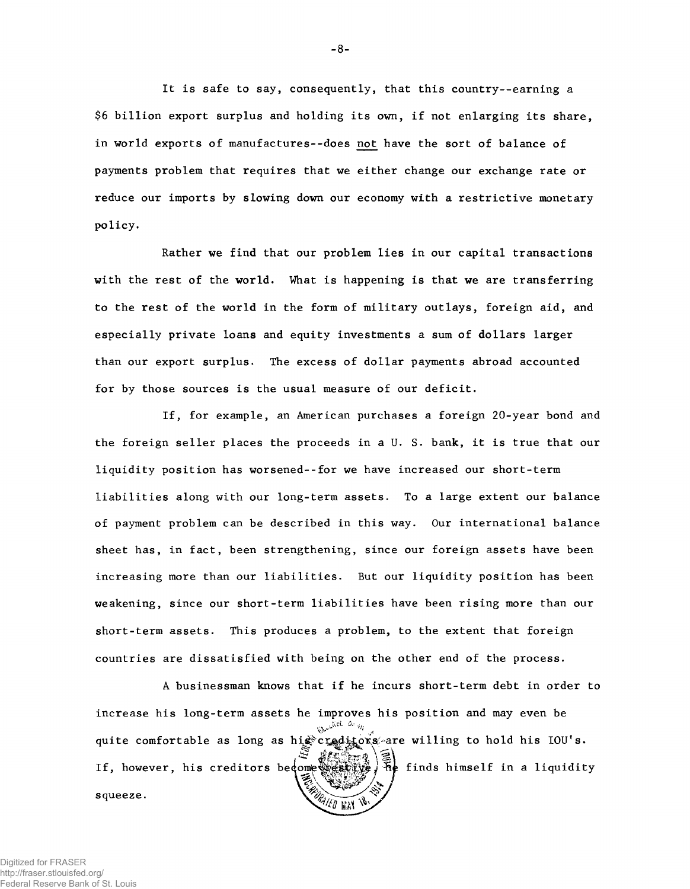It is safe to say, consequently, that this country--earning a \$6 billion export surplus and holding its own, if not enlarging its share, in world exports of manufactures--does not have the sort of balance of payments problem that requires that we either change our exchange rate or reduce our imports by slowing down our economy with a restrictive monetary policy.

with the rest of the world. What is happening is that we are transferring to the rest of the world in the form of military outlays, foreign aid, and especially private loans and equity investments a sum of dollars larger than our export surplus. The excess of dollar payments abroad accounted for by those sources is the usual measure of our deficit. Rather we find that our problem lies in our capital transactions

the foreign seller places the proceeds in a U. S. bank, it is true that our liquidity position has worsened--for we have increased our short-term liabilities along with our long-term assets. To a large extent our balance of payment problem can be described in this way. Our international balance sheet has, in fact, been strengthening, since our foreign assets have been increasing more than our liabilities. But our liquidity position has been weakening, since our short-term liabilities have been rising more than our short-term assets. This produces a problem, to the extent that foreign countries are dissatisfied with being on the other end of the process. If, for example, an American purchases a foreign 20-year bond and

A businessman knows that if he incurs short-term debt in order to increase his long-term assets he improves his position and may even be *Ut'isn* quite comfortable as long as highcroaditoxs are willing to hold his IOU's. **Example 15** finds himself in a liquidity If, however, his creditors become sestive squeeze. ORAIED MAY 18

- 8 -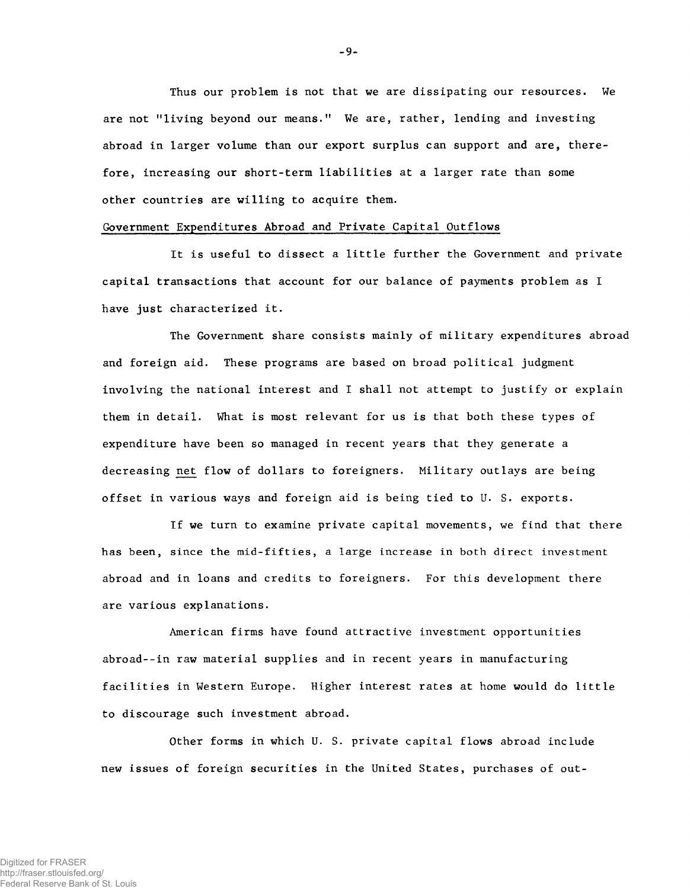Thus our problem is not that we are dissipating our resources. We are not "living beyond our means." We are, rather, lending and investing abroad in larger volume than our export surplus can support and are, therefore, increasing our short-term liabilities at a larger rate than some other countries are willing to acquire them.

## Government Expenditures Abroad and Private Capital Outflows

It is useful to dissect a little further the Government and private capital transactions that account for our balance of payments problem as I have just characterized it.

The Government share consists mainly of military expenditures abroad and foreign aid. These programs are based on broad political judgment involving the national interest and I shall not attempt to justify or explain them in detail. What is most relevant for us is that both these types of expenditure have been so managed in recent years that they generate a decreasing net flow of dollars to foreigners. Military outlays are being offset in various ways and foreign aid is being tied to U. S. exports.

If we turn to examine private capital movements, we find that there has been, since the mid-fifties, a large increase in both direct investment abroad and in loans and credits to foreigners. For this development there are various explanations.

American firms have found attractive investment opportunities abroad--in raw material supplies and in recent years in manufacturing facilities in Western Europe. Higher interest rates at home would do little to discourage such investment abroad.

Other forms in which U. S. private capital flows abroad include new issues of foreign securities in the United States, purchases of out-

-9-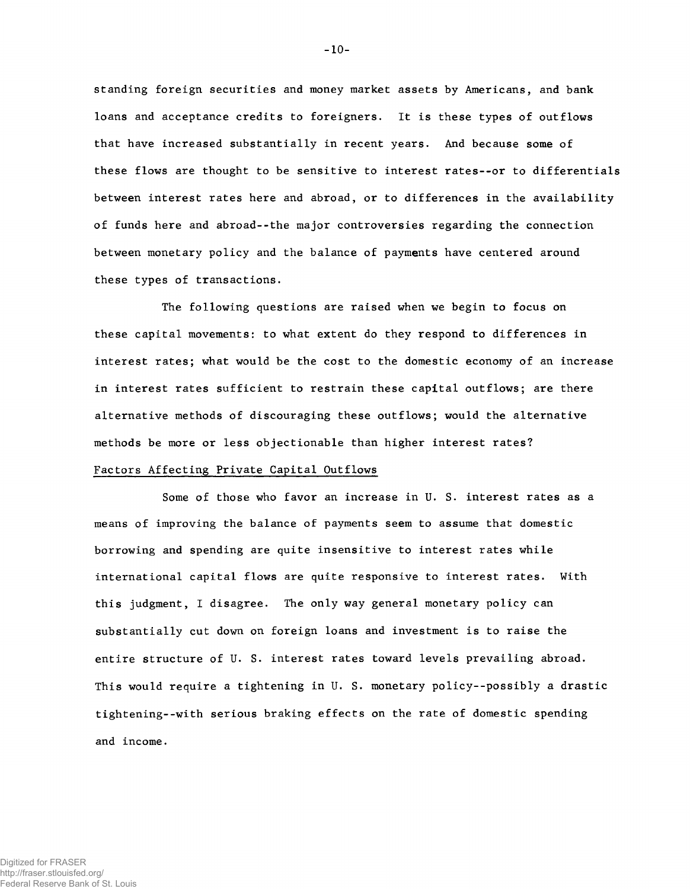standing foreign securities and money market assets by Americans, and bank loans and acceptance credits to foreigners. It is these types of outflows that have increased substantially in recent years. And because some of these flows are thought to be sensitive to interest rates--or to differentials between interest rates here and abroad, or to differences in the availability of funds here and abroad--the major controversies regarding the connection between monetary policy and the balance of payments have centered around these types of transactions.

The following questions are raised when we begin to focus on these capital movements: to what extent do they respond to differences in interest rates; what would be the cost to the domestic economy of an increase in interest rates sufficient to restrain these capital outflows; are there alternative methods of discouraging these outflows; would the alternative methods be more or less objectionable than higher interest rates?

# Factors Affecting Private Capital Outflows

Some of those who favor an increase in U. S. interest rates as a means of improving the balance of payments seem to assume that domestic borrowing and spending are quite insensitive to interest rates while international capital flows are quite responsive to interest rates. With this judgment, I disagree. The only way general monetary policy can substantially cut down on foreign loans and investment is to raise the entire structure of U. S. interest rates toward levels prevailing abroad. This would require a tightening in U. S. monetary policy--possibly a drastic tightening--with serious braking effects on the rate of domestic spending and income.

-10-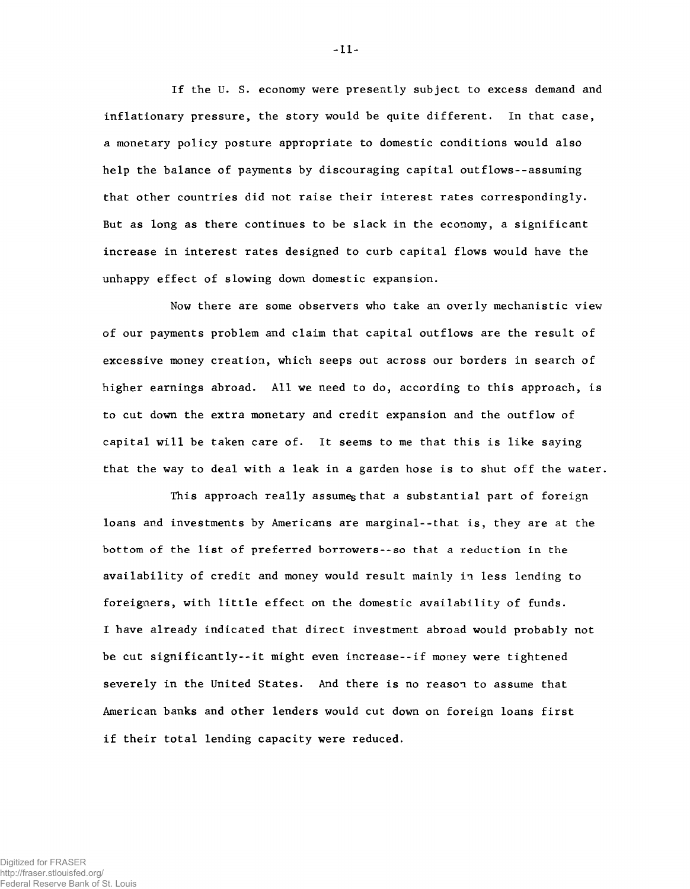If the U. S. economy were presently subject to excess demand and inflationary pressure, the story would be quite different. In that case, a monetary policy posture appropriate to domestic conditions would also help the balance of payments by discouraging capital outflows--assuming that other countries did not raise their interest rates correspondingly. But as long as there continues to be slack in the economy, a significant increase in interest rates designed to curb capital flows would have the unhappy effect of slowing down domestic expansion.

Now there are some observers who take an overly mechanistic view of our payments problem and claim that capital outflows are the result of excessive money creation, which seeps out across our borders in search of higher earnings abroad. All we need to do, according to this approach, is to cut down the extra monetary and credit expansion and the outflow of capital will be taken care of. It seems to me that this is like saying that the way to deal with a leak in a garden hose is to shut off the water.

This approach really assumes that a substantial part of foreign loans and investments by Americans are marginal--that is, they are at the bottom of the list of preferred borrowers--so that a reduction in the availability of credit and money would result mainly in less lending to foreigners, with little effect on the domestic availability of funds. I have already indicated that direct investment abroad would probably not be cut significantly--it might even increase--if money were tightened severely in the United States. And there is no reason to assume that American banks and other lenders would cut down on foreign loans first if their total lending capacity were reduced.

-11-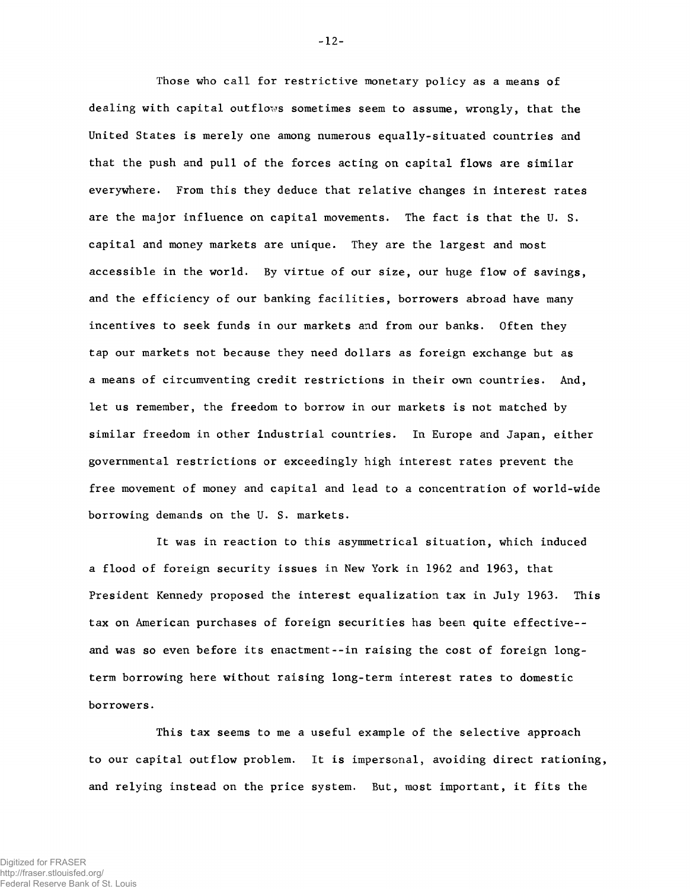Those who call for restrictive monetary policy as a means of dealing with capital outflows sometimes seem to assume, wrongly, that the United States is merely one among numerous equally-situated countries and that the push and pull of the forces acting on capital flows are similar everywhere. From this they deduce that relative changes in interest rates are the major influence on capital movements. The fact is that the U. S. capital and money markets are unique. They are the largest and most accessible in the world. By virtue of our size, our huge flow of savings, and the efficiency of our banking facilities, borrowers abroad have many incentives to seek funds in our markets and from our banks. Often they tap our markets not because they need dollars as foreign exchange but as a means of circumventing credit restrictions in their own countries. And, let us remember, the freedom to borrow in our markets is not matched by similar freedom in other industrial countries. In Europe and Japan, either governmental restrictions or exceedingly high interest rates prevent the free movement of money and capital and lead to a concentration of world-wide borrowing demands on the U. S. markets.

It was in reaction to this asymmetrical situation, which induced a flood of foreign security issues in New York in 1962 and 1963, that President Kennedy proposed the interest equalization tax in July 1963. This tax on American purchases of foreign securities has been quite effective- and was so even before its enactment--in raising the cost of foreign longterm borrowing here without raising long-term interest rates to domestic borrowers.

This tax seems to me a useful example of the selective approach to our capital outflow problem. It is impersonal, avoiding direct rationing, and relying instead on the price system. But, most important, it fits the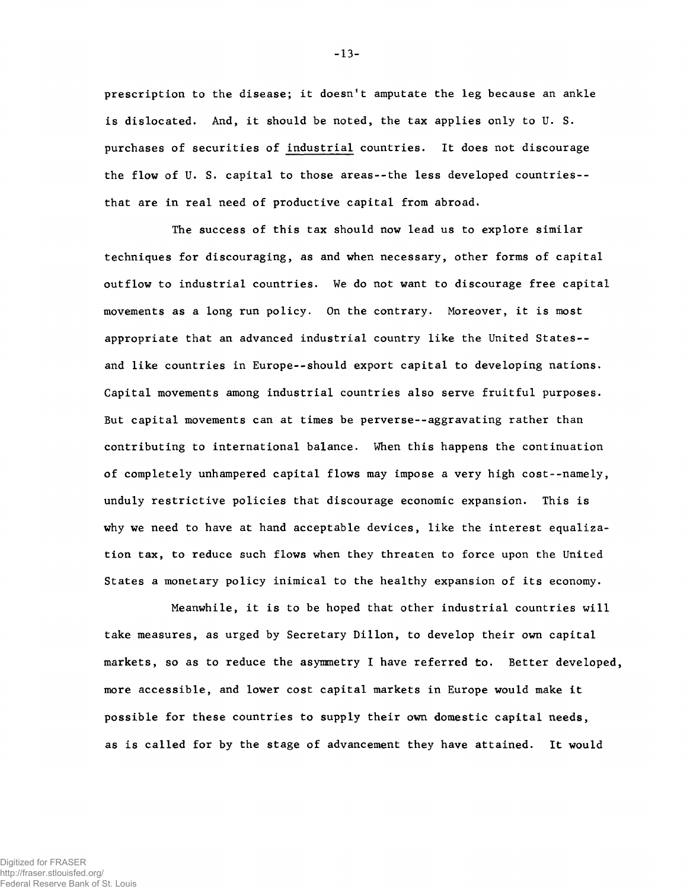prescription to the disease; it doesn't amputate the leg because an ankle is dislocated. And, it should be noted, the tax applies only to U. S. purchases of securities of industrial countries. It does not discourage the flow of U. S. capital to those areas--the less developed countries- that are in real need of productive capital from abroad.

The success of this tax should now lead us to explore similar techniques for discouraging, as and when necessary, other forms of capital outflow to industrial countries. We do not want to discourage free capital movements as a long run policy. On the contrary. Moreover, it is most appropriate that an advanced industrial country like the United States- and like countries in Europe--should export capital to developing nations. Capital movements among industrial countries also serve fruitful purposes. But capital movements can at times be perverse--aggravating rather than contributing to international balance. When this happens the continuation of completely unhampered capital flows may impose a very high cost--namely, unduly restrictive policies that discourage economic expansion. This is why we need to have at hand acceptable devices, like the interest equalization tax, to reduce such flows when they threaten to force upon the United States a monetary policy inimical to the healthy expansion of its economy.

Meanwhile, it is to be hoped that other industrial countries will take measures, as urged by Secretary Dillon, to develop their own capital markets, so as to reduce the asymmetry I have referred to. Better developed, more accessible, and lower cost capital markets in Europe would make it possible for these countries to supply their own domestic capital needs, as is called for by the stage of advancement they have attained. It would

**-** 13**-**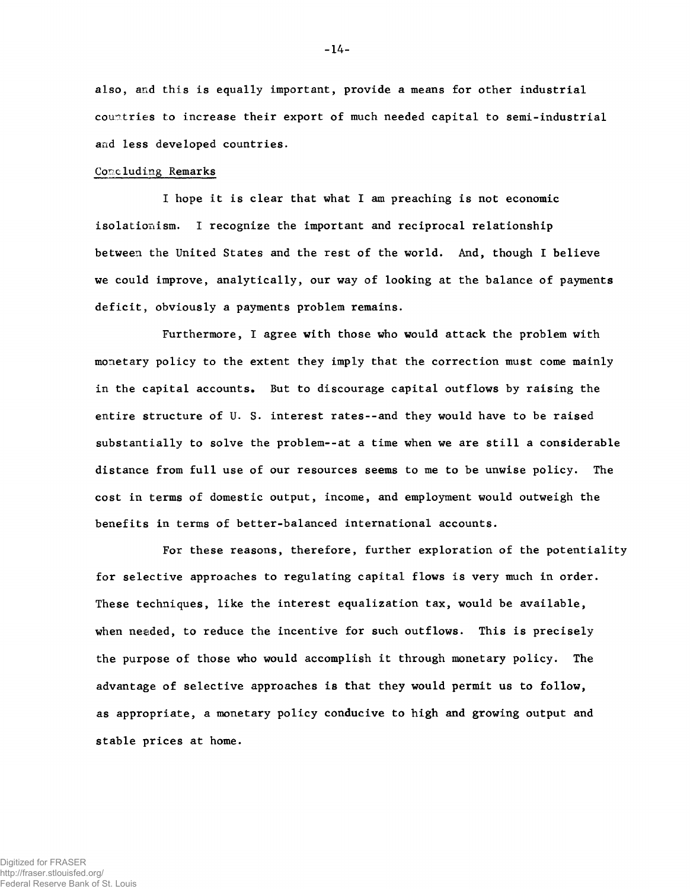also, and this is equally important, provide a means for other industrial countries to increase their export of much needed capital to semi-industrial and less developed countries.

### Concluding Remarks

I hope it is clear that what I am preaching is not economic isolationism. I recognize the important and reciprocal relationship between the United States and the rest of the world. And, though I believe we could improve, analytically, our way of looking at the balance of payments deficit, obviously a payments problem remains.

Furthermore, I agree with those who would attack the problem with monetary policy to the extent they imply that the correction must come mainly in the capital accounts. But to discourage capital outflows by raising the entire structure of U. S. interest rates--and they would have to be raised substantially to solve the problem--at a time when we are still a considerable distance from full use of our resources seems to me to be unwise policy. The cost in terms of domestic output, income, and employment would outweigh the benefits in terms of better-balanced international accounts.

For these reasons, therefore, further exploration of the potentiality for selective approaches to regulating capital flows is very much in order. These techniques, like the interest equalization tax, would be available, when needed, to reduce the incentive for such outflows. This is precisely the purpose of those who would accomplish it through monetary policy. The advantage of selective approaches is that they would permit us to follow, as appropriate, a monetary policy conducive to high and growing output and stable prices at home.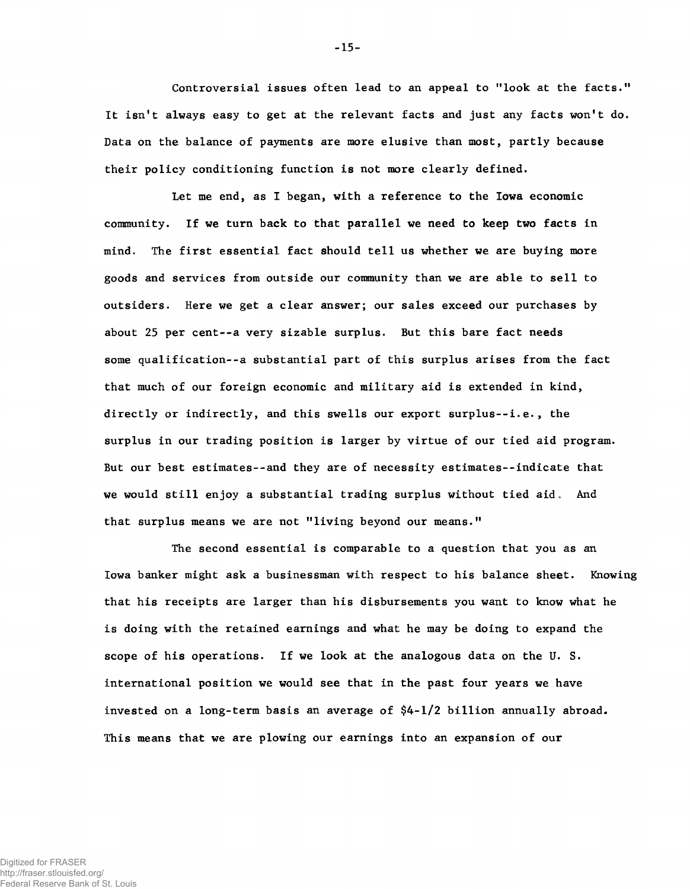Controversial issues often lead to an appeal to "look at the facts." It isn't always easy to get at the relevant facts and just any facts won't do. Data on the balance of payments are more elusive than most, partly because their policy conditioning function is not more clearly defined.

Let me end, as I began, with a reference to the Iowa economic community. If we turn back to that parallel we need to keep two facts in mind. The first essential fact should tell us whether we are buying more goods and services from outside our community than we are able to sell to outsiders. Here we get a clear answer; our sales exceed our purchases by about 25 per cent--a very sizable surplus. But this bare fact needs some qualification--a substantial part of this surplus arises from the fact that much of our foreign economic and military aid is extended in kind, directly or indirectly, and this swells our export surplus--i.e., the surplus in our trading position is larger by virtue of our tied aid program. But our best estimates--and they are of necessity estimates--indicate that we would still enjoy a substantial trading surplus without tied aid. And that surplus means we are not "living beyond our means."

The second essential is comparable to a question that you as an Iowa banker might ask a businessman with respect to his balance sheet. Knowing that his receipts are larger than his disbursements you want to know what he is doing with the retained earnings and what he may be doing to expand the scope of his operations. If we look at the analogous data on the U. S. international position we would see that in the past four years we have invested on a long-term basis an average of \$4-1/2 billion annually abroad. This means that we are plowing our earnings into an expansion of our

**-** 15**-**